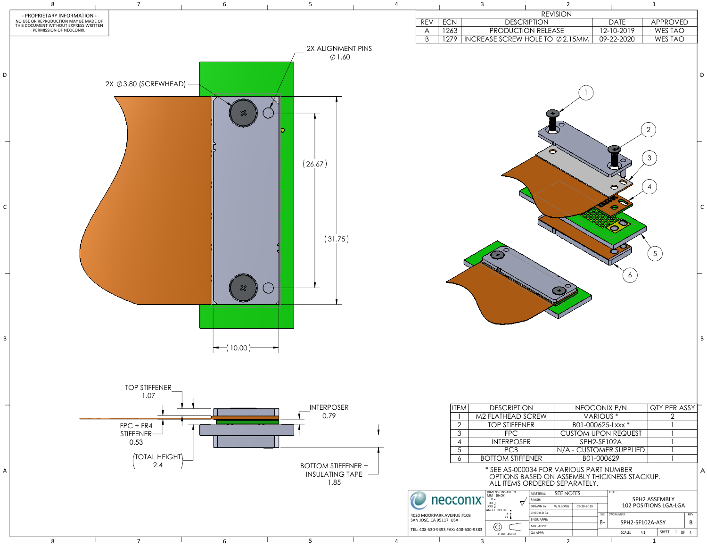|            |                                                    |              |                                                                                                                          |                                | <b>REVISION</b> |                                      |                |                                  |                                       |                  |
|------------|----------------------------------------------------|--------------|--------------------------------------------------------------------------------------------------------------------------|--------------------------------|-----------------|--------------------------------------|----------------|----------------------------------|---------------------------------------|------------------|
| <b>REV</b> | ECN                                                |              | <b>DESCRIPTION</b>                                                                                                       |                                |                 |                                      |                | <b>DATE</b>                      | APPROVED                              |                  |
| A          | 1263                                               |              | PRODUCTION RELEASE                                                                                                       |                                |                 |                                      |                | 12-10-2019                       | <b>WES TAO</b>                        |                  |
| B          | 1279                                               |              | INCREASE SCREW HOLE TO $\emptyset$ 2.15MM                                                                                |                                |                 |                                      |                | 09-22-2020                       | <b>WES TAO</b>                        |                  |
|            |                                                    |              |                                                                                                                          |                                |                 |                                      |                |                                  | $\overline{2}$<br>3<br>$\overline{4}$ | D<br>$\mathsf C$ |
|            |                                                    |              |                                                                                                                          |                                |                 |                                      |                | 6                                | $5\overline{)}$                       | B                |
|            |                                                    |              |                                                                                                                          |                                |                 |                                      |                |                                  |                                       |                  |
|            |                                                    |              | <b>DESCRIPTION</b>                                                                                                       |                                |                 |                                      |                |                                  | QTY PER ASSY                          |                  |
|            | <b>ITEM</b><br>1                                   |              | M2 FLATHEAD SCREW                                                                                                        |                                |                 | NEOCONIX P/N<br>VARIOUS <sup>*</sup> |                |                                  | $\overline{2}$                        |                  |
|            | $\overline{2}$                                     |              | <b>TOP STIFFENER</b>                                                                                                     |                                |                 | B01-000625-Lxxx *                    |                |                                  |                                       |                  |
|            | $\overline{3}$                                     |              | <b>FPC</b>                                                                                                               |                                |                 |                                      |                | <b>CUSTOM UPON REQUEST</b>       |                                       |                  |
|            | 4                                                  |              | <b>INTERPOSER</b>                                                                                                        |                                |                 | SPH2-SF102A                          |                |                                  |                                       |                  |
|            |                                                    |              |                                                                                                                          |                                |                 |                                      |                | N/A - CUSTOMER SUPPLIED          |                                       |                  |
|            | 5<br><b>PCB</b><br><b>BOTTOM STIFFENER</b><br>6    |              |                                                                                                                          |                                | B01-000629      |                                      |                |                                  |                                       |                  |
|            |                                                    |              | * SEE AS-000034 FOR VARIOUS PART NUMBER<br>OPTIONS BASED ON ASSEMBLY THICKNESS STACKUP.<br>ALL ITEMS ORDERED SEPARATELY. |                                |                 |                                      |                |                                  |                                       | A                |
|            |                                                    |              | DIMENSIONS ARE IN<br>MM [INCH]                                                                                           | MATERIAL:                      | SEE NOTES       |                                      |                | TITLE:                           | SPH2 ASSEMBLY                         |                  |
|            | necconix <sup>®</sup>                              |              | $.X +$<br>$XX \pm$<br>7<br>$\pm$ XXX.                                                                                    | FINISH:<br><b>DRAWN BY:</b>    | W.B.LONG        | 09-30-2019                           |                |                                  | 102 POSITIONS LGA-LGA                 |                  |
|            | MOORPARK AVENUE #108                               |              | ANGLE: NO DEC ±<br>$.X \pm$                                                                                              | CHECKED BY:                    |                 |                                      | SIZE           | DWG NUMBER:                      |                                       | REV              |
|            | OSE, CA 95117 USA<br>08-530-9393 FAX: 408-530-9383 |              | $\mathsf{XXX}$ $\pm$<br>(⊕)                                                                                              | <b>ENGR APPR:</b><br>MFG APPR: |                 |                                      | $\mathsf{B}^+$ | SPH2-SF102A-ASY<br>SCALE:<br>4:1 | SHEET 1 OF 4                          | B                |
|            |                                                    | $\mathbf{3}$ | THIRD ANGLE                                                                                                              | QA APPR:                       | $\overline{2}$  |                                      |                |                                  | 1                                     |                  |

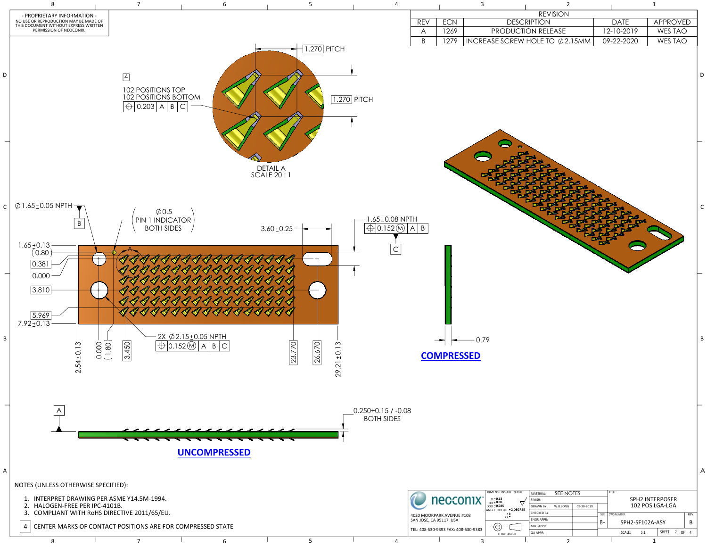|                           |            | $\overline{3}$ |                    | $\overline{2}$                            |             | $\mathbf 1$     |  |
|---------------------------|------------|----------------|--------------------|-------------------------------------------|-------------|-----------------|--|
|                           |            |                |                    | <b>REVISION</b>                           |             |                 |  |
| $\overline{REV}$          | <b>ECN</b> |                | <b>DESCRIPTION</b> |                                           | <b>DATE</b> | <b>APPROVED</b> |  |
| $\boldsymbol{\mathsf{A}}$ | 1269       |                | PRODUCTION RELEASE |                                           | 12-10-2019  | <b>WES TAO</b>  |  |
| $\sf B$                   | 1279       |                |                    | INCREASE SCREW HOLE TO $\emptyset$ 2.15MM | 09-22-2020  | WES TAO         |  |
|                           |            |                |                    |                                           |             |                 |  |
| B                         |            |                |                    |                                           |             |                 |  |



8 1 2 1 2 1

| м   | MATERIAL:        | SEE NOTES              |  |      |                 | TITLE: |                        |              |                |    |            |
|-----|------------------|------------------------|--|------|-----------------|--------|------------------------|--------------|----------------|----|------------|
|     | FINISH:          |                        |  |      |                 |        | <b>SPH2 INTERPOSER</b> |              |                |    |            |
| REE | <b>DRAWN BY:</b> | 09-30-2019<br>W.B.LONG |  |      | 102 POS LGA-LGA |        |                        |              |                |    |            |
|     | CHECKED BY:      |                        |  | SIZE | DWG NUMBER:     |        |                        |              |                |    | <b>REV</b> |
|     | <b>ENGRAPPR:</b> |                        |  | B+   | SPH2-SF102A-ASY |        |                        |              |                | B  |            |
|     | <b>MFG APPR:</b> |                        |  |      |                 |        |                        |              |                |    |            |
|     | <b>QA APPR:</b>  |                        |  |      |                 | SCALE: | 5:1                    | <b>SHEET</b> | $\mathfrak{p}$ | 0F | Δ          |
|     |                  |                        |  |      |                 |        |                        |              |                |    |            |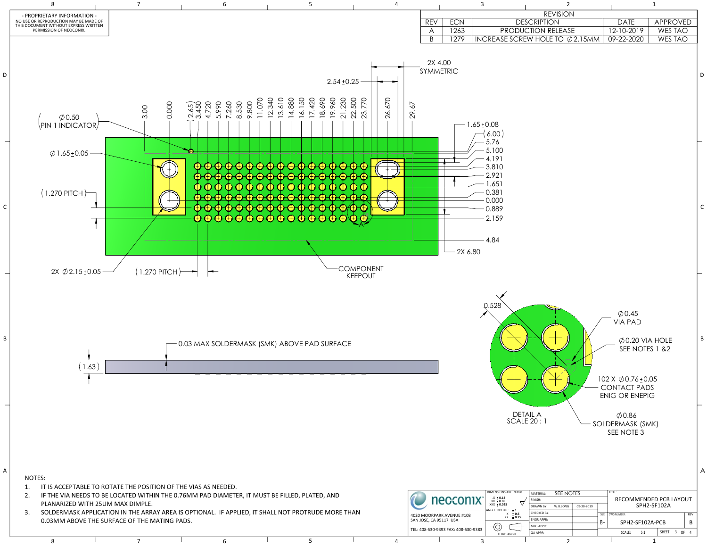3. SOLDERMASK APPLICATION IN THE ARRAY AREA IS OPTIONAL. IF APPLIED, IT SHALL NOT PROTRUDE MORE THAN 0.03MM ABOVE THE SURFACE OF THE MATING PADS.



| <b>REVISION</b>                |             |          |
|--------------------------------|-------------|----------|
| DESCRIPTION                    | <b>DATE</b> | APPROVED |
| NUCTION RELEASE                | 12-10-2019  | WES TAO  |
| $REW$ HOLE TO $\oslash$ 2.15MM | 09-22-2020  | WES TAO  |
|                                |             |          |

| IM | MATERIAL:                | SEE NOTES |            | TITLE: |                 |             |                          |              |                |      |            |
|----|--------------------------|-----------|------------|--------|-----------------|-------------|--------------------------|--------------|----------------|------|------------|
|    | FINISH:                  |           |            |        |                 |             | RECOMMENDED PCB LAYOUT   |              |                |      |            |
|    | <b>DRAWN BY:</b>         | W.B.LONG  | 09-30-2019 |        | SPH2-SF102A     |             |                          |              |                |      |            |
|    | CHECKED BY:              |           |            | SIZE   |                 | DWG NUMBER: |                          |              |                |      | <b>REV</b> |
| 15 | <b>ENGR APPR:</b>        |           |            | B+     | SPH2-SF102A-PCB |             |                          |              | B              |      |            |
|    | <b>MFG APPR:</b>         |           |            |        |                 |             |                          |              |                |      |            |
|    | <b>QA APPR:</b>          |           |            |        |                 | SCALE:      | 5:1                      | <b>SHEET</b> | $\overline{3}$ | - OF | Δ          |
|    | $\overline{\phantom{0}}$ |           |            |        |                 |             | $\overline{\phantom{a}}$ |              |                |      |            |